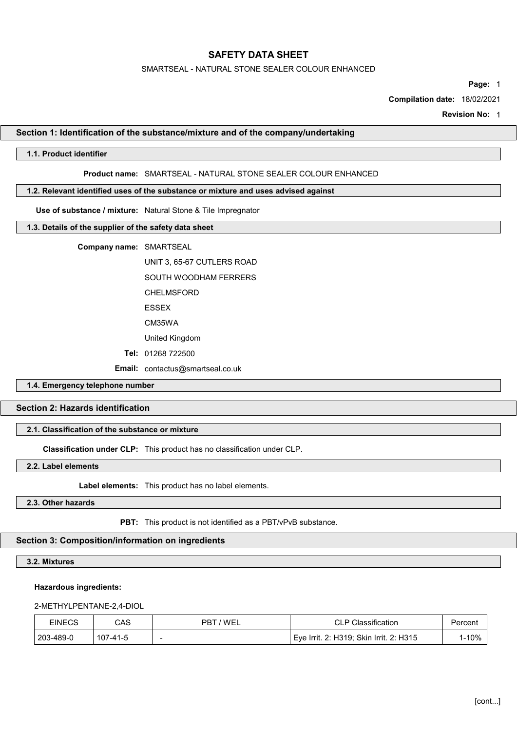### SMARTSEAL - NATURAL STONE SEALER COLOUR ENHANCED

Page: 1

Compilation date: 18/02/2021

Revision No: 1

### Section 1: Identification of the substance/mixture and of the company/undertaking

# 1.1. Product identifier

### Product name: SMARTSEAL - NATURAL STONE SEALER COLOUR ENHANCED

### 1.2. Relevant identified uses of the substance or mixture and uses advised against

Use of substance / mixture: Natural Stone & Tile Impregnator

# 1.3. Details of the supplier of the safety data sheet

Company name: SMARTSEAL

UNIT 3, 65-67 CUTLERS ROAD

SOUTH WOODHAM FERRERS

CHELMSFORD

ESSEX

CM35WA

United Kingdom

Tel: 01268 722500

Email: contactus@smartseal.co.uk

# 1.4. Emergency telephone number

# Section 2: Hazards identification

# 2.1. Classification of the substance or mixture

Classification under CLP: This product has no classification under CLP.

2.2. Label elements

Label elements: This product has no label elements.

### 2.3. Other hazards

PBT: This product is not identified as a PBT/vPvB substance.

# Section 3: Composition/information on ingredients

3.2. Mixtures

### Hazardous ingredients:

### 2-METHYLPENTANE-2,4-DIOL

| EINECS    | CAS      | 'WEL<br>PR-              | <b>CLP Classification</b>               | Percen |
|-----------|----------|--------------------------|-----------------------------------------|--------|
| 203-489-0 | 107-41-5 | $\overline{\phantom{a}}$ | Eye Irrit. 2: H319; Skin Irrit. 2: H315 | $-10%$ |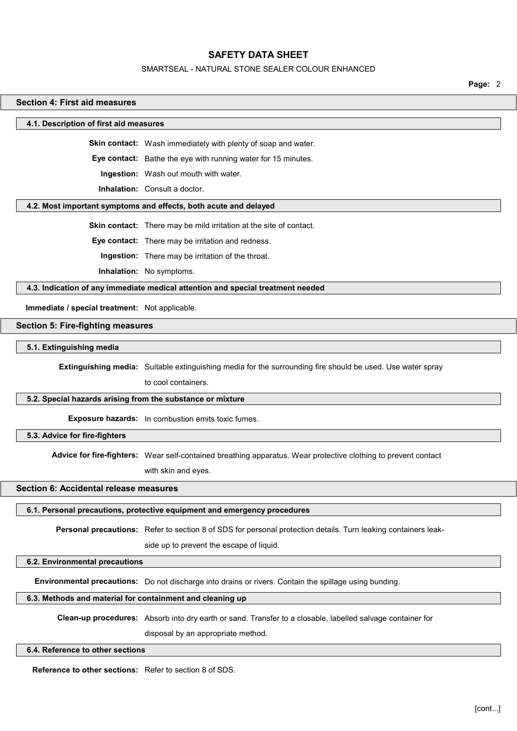#### SMARTSEAL - NATURAL STONE SEALER COLOUR ENHANCED

Page: 2

# 4.1. Description of first aid measures Skin contact: Wash immediately with plenty of soap and water. Eye contact: Bathe the eye with running water for 15 minutes. Ingestion: Wash out mouth with water. Inhalation: Consult a doctor. 4.2. Most important symptoms and effects, both acute and delayed Skin contact: There may be mild irritation at the site of contact. Eye contact: There may be irritation and redness. Ingestion: There may be irritation of the throat. Inhalation: No symptoms. 4.3. Indication of any immediate medical attention and special treatment needed Immediate / special treatment: Not applicable. Section 5: Fire-fighting measures 5.1. Extinguishing media Extinguishing media: Suitable extinguishing media for the surrounding fire should be used. Use water spray to cool containers. 5.2. Special hazards arising from the substance or mixture Exposure hazards: In combustion emits toxic fumes.

5.3. Advice for fire-fighters

Section 4: First aid measures

Advice for fire-fighters: Wear self-contained breathing apparatus. Wear protective clothing to prevent contact

with skin and eyes.

# Section 6: Accidental release measures

# 6.1. Personal precautions, protective equipment and emergency procedures

Personal precautions: Refer to section 8 of SDS for personal protection details. Turn leaking containers leak-

side up to prevent the escape of liquid.

# 6.2. Environmental precautions

Environmental precautions: Do not discharge into drains or rivers. Contain the spillage using bunding.

# 6.3. Methods and material for containment and cleaning up

Clean-up procedures: Absorb into dry earth or sand. Transfer to a closable, labelled salvage container for

disposal by an appropriate method.

### 6.4. Reference to other sections

Reference to other sections: Refer to section 8 of SDS.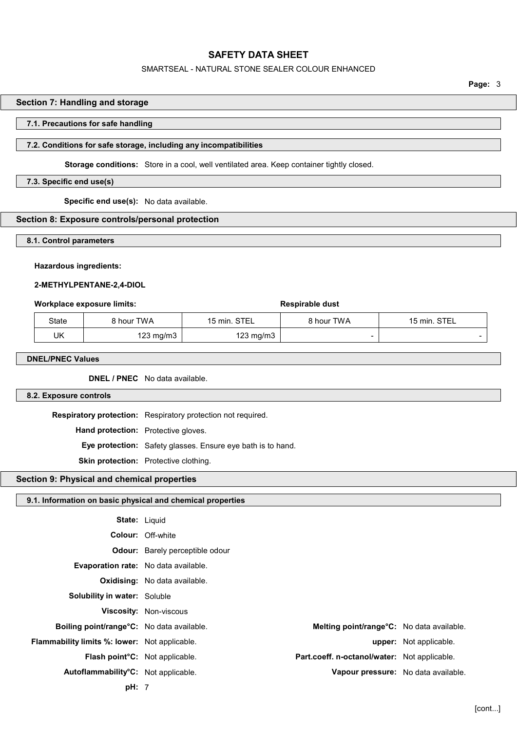### SMARTSEAL - NATURAL STONE SEALER COLOUR ENHANCED

Page: 3

# Section 7: Handling and storage

### 7.1. Precautions for safe handling

# 7.2. Conditions for safe storage, including any incompatibilities

Storage conditions: Store in a cool, well ventilated area. Keep container tightly closed.

# 7.3. Specific end use(s)

Specific end use(s): No data available.

### Section 8: Exposure controls/personal protection

#### 8.1. Control parameters

### Hazardous ingredients:

### 2-METHYLPENTANE-2,4-DIOL

#### Workplace exposure limits:  $\qquad \qquad$  Respirable dust

| State | ੇ hour TWA | 15 min. STEL | 8 hour TWA | 15 min. STEL |
|-------|------------|--------------|------------|--------------|
| UK    | 123 mg/m3  | 123 mg/m3    |            |              |

# DNEL/PNEC Values

DNEL / PNEC No data available.

# 8.2. Exposure controls

Respiratory protection: Respiratory protection not required. Hand protection: Protective gloves. Eye protection: Safety glasses. Ensure eye bath is to hand. Skin protection: Protective clothing.

# Section 9: Physical and chemical properties

9.1. Information on basic physical and chemical properties

| <b>State: Liquid</b>                                 |                                        |                                                   |                               |
|------------------------------------------------------|----------------------------------------|---------------------------------------------------|-------------------------------|
|                                                      | <b>Colour: Off-white</b>               |                                                   |                               |
|                                                      | <b>Odour:</b> Barely perceptible odour |                                                   |                               |
| <b>Evaporation rate:</b> No data available.          |                                        |                                                   |                               |
|                                                      | <b>Oxidising:</b> No data available.   |                                                   |                               |
| <b>Solubility in water: Soluble</b>                  |                                        |                                                   |                               |
|                                                      | <b>Viscosity: Non-viscous</b>          |                                                   |                               |
| Boiling point/range°C: No data available.            |                                        | <b>Melting point/range °C:</b> No data available. |                               |
| <b>Flammability limits %: lower:</b> Not applicable. |                                        |                                                   | <b>upper:</b> Not applicable. |
| Flash point <sup>o</sup> C: Not applicable.          |                                        | Part.coeff. n-octanol/water: Not applicable.      |                               |
| Autoflammability°C: Not applicable.                  |                                        | Vapour pressure: No data available.               |                               |
| pH: 7                                                |                                        |                                                   |                               |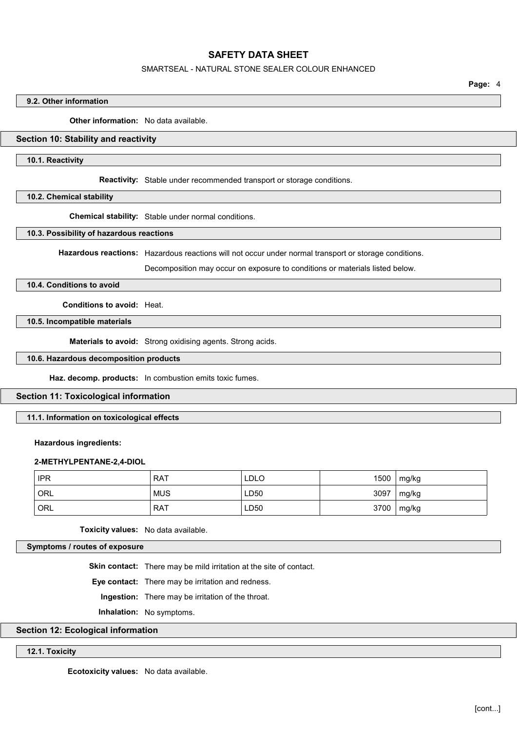### SMARTSEAL - NATURAL STONE SEALER COLOUR ENHANCED

Page: 4

# 9.2. Other information

**Other information:** No data available.

# Section 10: Stability and reactivity

### 10.1. Reactivity

Reactivity: Stable under recommended transport or storage conditions.

### 10.2. Chemical stability

Chemical stability: Stable under normal conditions.

### 10.3. Possibility of hazardous reactions

Hazardous reactions: Hazardous reactions will not occur under normal transport or storage conditions.

Decomposition may occur on exposure to conditions or materials listed below.

## 10.4. Conditions to avoid

Conditions to avoid: Heat.

10.5. Incompatible materials

Materials to avoid: Strong oxidising agents. Strong acids.

## 10.6. Hazardous decomposition products

Haz. decomp. products: In combustion emits toxic fumes.

### Section 11: Toxicological information

# 11.1. Information on toxicological effects

#### Hazardous ingredients:

### 2-METHYLPENTANE-2,4-DIOL

| <b>IPR</b> | <b>RAT</b> | <b>LDLO</b> | 1500 | mg/kg |
|------------|------------|-------------|------|-------|
| ORL        | <b>MUS</b> | LD50        | 3097 | mg/kg |
| ORL        | <b>RAT</b> | LD50        | 3700 | mg/kg |

Toxicity values: No data available.

Symptoms / routes of exposure

Skin contact: There may be mild irritation at the site of contact.

Eye contact: There may be irritation and redness.

Ingestion: There may be irritation of the throat.

Inhalation: No symptoms.

# Section 12: Ecological information

12.1. Toxicity

Ecotoxicity values: No data available.